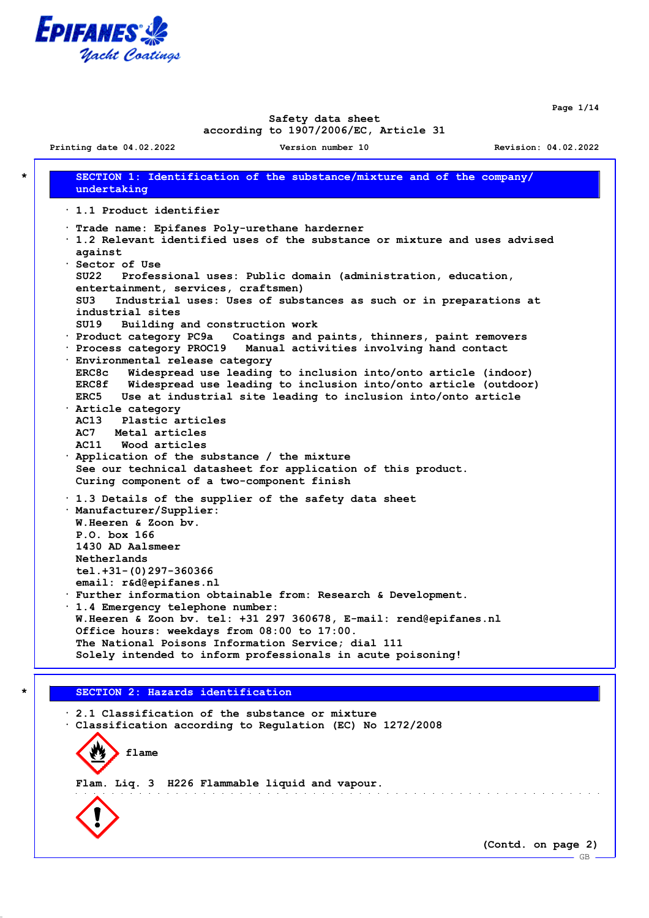

**Page 1/14**

## **Safety data sheet according to 1907/2006/EC, Article 31**

**Printing date 04.02.2022 Version number 10 Revision: 04.02.2022**

**\* SECTION 1: Identification of the substance/mixture and of the company/ undertaking · 1.1 Product identifier · Trade name: Epifanes Poly-urethane harderner · 1.2 Relevant identified uses of the substance or mixture and uses advised against · Sector of Use SU22 Professional uses: Public domain (administration, education, entertainment, services, craftsmen) SU3 Industrial uses: Uses of substances as such or in preparations at industrial sites SU19 Building and construction work · Product category PC9a Coatings and paints, thinners, paint removers · Process category PROC19 Manual activities involving hand contact · Environmental release category ERC8c Widespread use leading to inclusion into/onto article (indoor) ERC8f Widespread use leading to inclusion into/onto article (outdoor) ERC5 Use at industrial site leading to inclusion into/onto article · Article category AC13 Plastic articles AC7 Metal articles AC11 Wood articles · Application of the substance / the mixture See our technical datasheet for application of this product. Curing component of a two-component finish · 1.3 Details of the supplier of the safety data sheet · Manufacturer/Supplier: W.Heeren & Zoon bv. P.O. box 166 1430 AD Aalsmeer Netherlands tel.+31-(0)297-360366 email: r&d@epifanes.nl · Further information obtainable from: Research & Development. · 1.4 Emergency telephone number: W.Heeren & Zoon bv. tel: +31 297 360678, E-mail: rend@epifanes.nl Office hours: weekdays from 08:00 to 17:00. The National Poisons Information Service; dial 111 Solely intended to inform professionals in acute poisoning!**

## **\* SECTION 2: Hazards identification**

**· 2.1 Classification of the substance or mixture · Classification according to Regulation (EC) No 1272/2008**

**flame**

**Flam. Liq. 3 H226 Flammable liquid and vapour.**



**(Contd. on page 2)**

and a series of the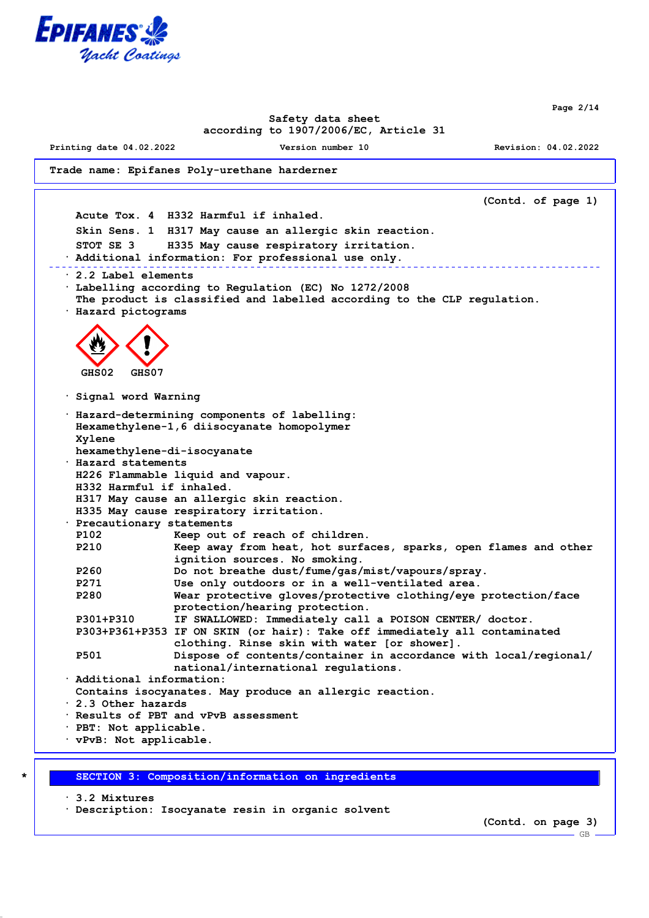

**Page 2/14**

## **Safety data sheet according to 1907/2006/EC, Article 31**

**Printing date 04.02.2022 Version number 10 Revision: 04.02.2022**

```
Trade name: Epifanes Poly-urethane harderner
```
**(Contd. of page 1) Acute Tox. 4 H332 Harmful if inhaled. Skin Sens. 1 H317 May cause an allergic skin reaction. STOT SE 3 H335 May cause respiratory irritation. · Additional information: For professional use only. · 2.2 Label elements · Labelling according to Regulation (EC) No 1272/2008 The product is classified and labelled according to the CLP regulation. · Hazard pictograms GHS02 GHS07 · Signal word Warning · Hazard-determining components of labelling: Hexamethylene-1,6 diisocyanate homopolymer Xylene hexamethylene-di-isocyanate · Hazard statements H226 Flammable liquid and vapour. H332 Harmful if inhaled. H317 May cause an allergic skin reaction. H335 May cause respiratory irritation. · Precautionary statements P102 Keep out of reach of children. P210 Keep away from heat, hot surfaces, sparks, open flames and other ignition sources. No smoking. P260 Do not breathe dust/fume/gas/mist/vapours/spray. P271 Use only outdoors or in a well-ventilated area. P280 Wear protective gloves/protective clothing/eye protection/face protection/hearing protection. P301+P310 IF SWALLOWED: Immediately call a POISON CENTER/ doctor. P303+P361+P353 IF ON SKIN (or hair): Take off immediately all contaminated clothing. Rinse skin with water [or shower]. P501 Dispose of contents/container in accordance with local/regional/ national/international regulations. · Additional information: Contains isocyanates. May produce an allergic reaction. · 2.3 Other hazards · Results of PBT and vPvB assessment · PBT: Not applicable. · vPvB: Not applicable.**

#### **\* SECTION 3: Composition/information on ingredients**

**· 3.2 Mixtures · Description: Isocyanate resin in organic solvent**

**(Contd. on page 3)**

 $-GB$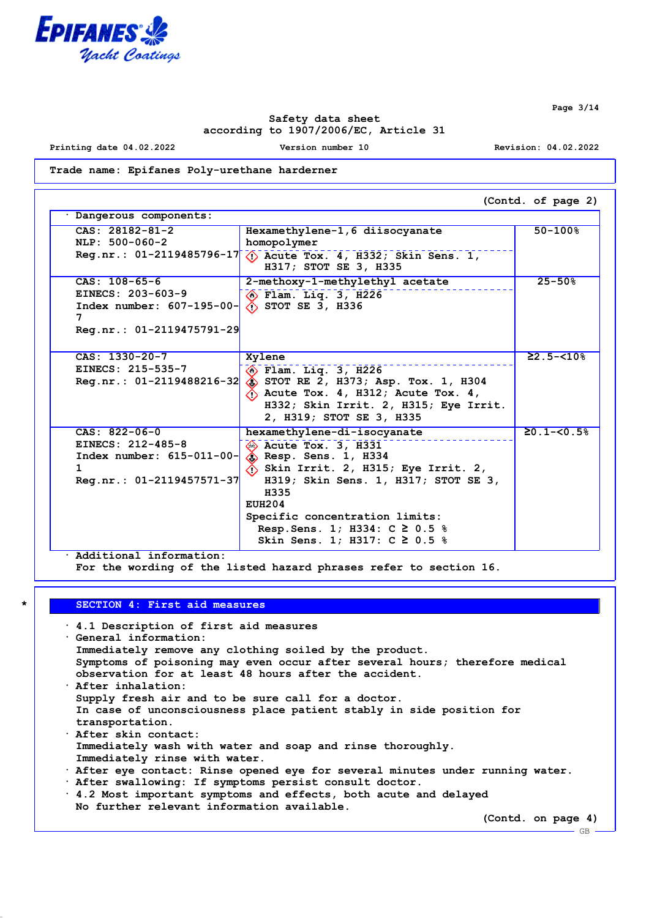

**Page 3/14**

 $-$  GB  $-$ 

## **Safety data sheet according to 1907/2006/EC, Article 31**

**Printing date 04.02.2022 Version number 10 Revision: 04.02.2022**

**Trade name: Epifanes Poly-urethane harderner**

|                                                                                                                  |                                                                                                                                                                                                                                                                                                                                    | (Contd. of page 2)        |
|------------------------------------------------------------------------------------------------------------------|------------------------------------------------------------------------------------------------------------------------------------------------------------------------------------------------------------------------------------------------------------------------------------------------------------------------------------|---------------------------|
| Dangerous components:                                                                                            |                                                                                                                                                                                                                                                                                                                                    |                           |
| $CAS: 28182-81-2$<br>NLP: 500-060-2                                                                              | Hexamethylene-1, 6 diisocyanate<br>homopolymer                                                                                                                                                                                                                                                                                     | $50 - 100%$               |
| $Reg.nr.: 01-2119485796-17$                                                                                      | $\langle$ Acute Tox. 4, H332; Skin Sens. 1,<br>H317; STOT SE 3, H335                                                                                                                                                                                                                                                               |                           |
| $CAS: 108-65-6$<br>EINECS: 203-603-9<br>Index number: $607-195-00$ -<br>7<br>Reg.nr.: 01-2119475791-29           | 2-methoxy-1-methylethyl acetate<br>$\langle \hat{c} \rangle$ Flam. Liq. 3, H226<br>$\Diamond$ STOT SE 3, H336                                                                                                                                                                                                                      | $25 - 50%$                |
| CAS: 1330-20-7<br>EINECS: 215-535-7<br>$Reg.nr.: 01-2119488216-32$                                               | Xylene<br><b>B</b> Flam. Liq. 3, H226<br>$\hat{a}$ STOT RE 2, H373; Asp. Tox. 1, H304<br>$\langle$ Acute Tox. 4, H312; Acute Tox. 4,<br>H332; Skin Irrit. 2, H315; Eye Irrit.<br>2, H319; STOT SE 3, H335                                                                                                                          | $22.5 - 510$ <sup>8</sup> |
| $CAS: 822-06-0$<br>EINECS: 212-485-8<br>$Index number: 615-011-00-$<br>$\mathbf{1}$<br>Reg.nr.: 01-2119457571-37 | hexamethylene-di-isocyanate<br>$\otimes$ Acute Tox. 3, H331<br>$\diamondsuit$ Resp. Sens. 1, H334<br>$\langle \cdot \rangle$ Skin Irrit. 2, H315; Eye Irrit. 2,<br>H319; Skin Sens. 1, H317; STOT SE 3,<br>H335<br>EUH204<br>Specific concentration limits:<br>Resp. Sens. 1; H334: $C \ge 0.5$ %<br>Skin Sens. 1; H317: C ≥ 0.5 % | $20.1 - 58$               |

**· Additional information:**

**For the wording of the listed hazard phrases refer to section 16.**

# **\* SECTION 4: First aid measures**

| $\cdot$ 4.1 Description of first aid measures                                  |
|--------------------------------------------------------------------------------|
| Ceneral information:                                                           |
| Immediately remove any clothing soiled by the product.                         |
| Symptoms of poisoning may even occur after several hours; therefore medical    |
| observation for at least 48 hours after the accident.                          |
| $\cdot$ After inhalation:                                                      |
| Supply fresh air and to be sure call for a doctor.                             |
| In case of unconsciousness place patient stably in side position for           |
| transportation.                                                                |
| . After skin contact:                                                          |
| Immediately wash with water and soap and rinse thoroughly.                     |
| Immediately rinse with water.                                                  |
| . After eye contact: Rinse opened eye for several minutes under running water. |
| . After swallowing: If symptoms persist consult doctor.                        |
| . 4.2 Most important symptoms and effects, both acute and delayed              |
| No further relevant information available.                                     |
| (Contd. on page 4)                                                             |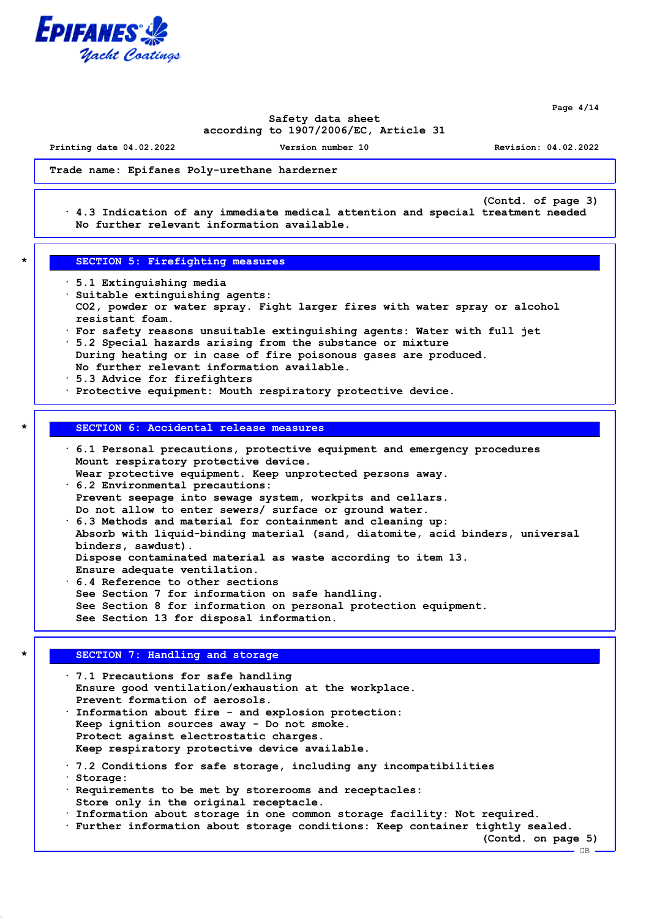

**Page 4/14**

## **Safety data sheet according to 1907/2006/EC, Article 31**

**Printing date 04.02.2022 Version number 10 Revision: 04.02.2022**

**(Contd. of page 3)**

### **Trade name: Epifanes Poly-urethane harderner**

**· 4.3 Indication of any immediate medical attention and special treatment needed No further relevant information available.**

### **\* SECTION 5: Firefighting measures**

- **· 5.1 Extinguishing media**
- **· Suitable extinguishing agents: CO2, powder or water spray. Fight larger fires with water spray or alcohol resistant foam.**
- **· For safety reasons unsuitable extinguishing agents: Water with full jet · 5.2 Special hazards arising from the substance or mixture**
- **During heating or in case of fire poisonous gases are produced. No further relevant information available.**
- **· 5.3 Advice for firefighters**
- **· Protective equipment: Mouth respiratory protective device.**

## **\* SECTION 6: Accidental release measures**

**· 6.1 Personal precautions, protective equipment and emergency procedures Mount respiratory protective device. Wear protective equipment. Keep unprotected persons away. · 6.2 Environmental precautions: Prevent seepage into sewage system, workpits and cellars. Do not allow to enter sewers/ surface or ground water. · 6.3 Methods and material for containment and cleaning up: Absorb with liquid-binding material (sand, diatomite, acid binders, universal binders, sawdust). Dispose contaminated material as waste according to item 13. Ensure adequate ventilation. · 6.4 Reference to other sections See Section 7 for information on safe handling.**

**See Section 8 for information on personal protection equipment. See Section 13 for disposal information.**

## **SECTION 7: Handling and storage**

**· 7.1 Precautions for safe handling Ensure good ventilation/exhaustion at the workplace. Prevent formation of aerosols. · Information about fire - and explosion protection: Keep ignition sources away - Do not smoke. Protect against electrostatic charges. Keep respiratory protective device available. · 7.2 Conditions for safe storage, including any incompatibilities · Storage: · Requirements to be met by storerooms and receptacles:**

- **Store only in the original receptacle.**
- **· Information about storage in one common storage facility: Not required.**
- **· Further information about storage conditions: Keep container tightly sealed.**

**(Contd. on page 5)**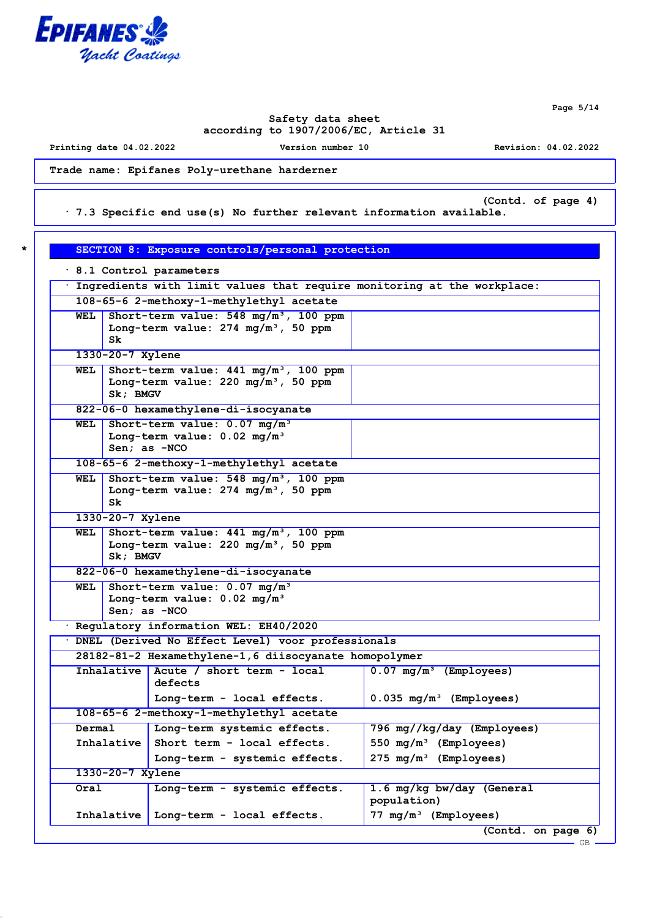

**Page 5/14**

GB

# **Safety data sheet according to 1907/2006/EC, Article 31**

**Printing date 04.02.2022 Version number 10 Revision: 04.02.2022**

**Trade name: Epifanes Poly-urethane harderner**

**(Contd. of page 4)**

**· 7.3 Specific end use(s) No further relevant information available.**

| SECTION 8: Exposure controls/personal protection<br>$\star$ |
|-------------------------------------------------------------|
|-------------------------------------------------------------|

| 8.1 Control parameters                                                                                                 |                  |                                                                                                    |                                          |
|------------------------------------------------------------------------------------------------------------------------|------------------|----------------------------------------------------------------------------------------------------|------------------------------------------|
| Ingredients with limit values that require monitoring at the workplace:                                                |                  |                                                                                                    |                                          |
| 108-65-6 2-methoxy-1-methylethyl acetate                                                                               |                  |                                                                                                    |                                          |
| WEL                                                                                                                    | Sk.              | Short-term value: $548 \text{ mg/m}^3$ , 100 ppm<br>Long-term value: $274 \text{ mg/m}^3$ , 50 ppm |                                          |
|                                                                                                                        | 1330-20-7 Xylene |                                                                                                    |                                          |
| WEL                                                                                                                    | Sk; BMGV         | Short-term value: $441 \text{ mg/m}^3$ , 100 ppm<br>Long-term value: $220 \text{ mg/m}^3$ , 50 ppm |                                          |
|                                                                                                                        |                  | 822-06-0 hexamethylene-di-isocyanate                                                               |                                          |
| Short-term value: $0.07$ mg/m <sup>3</sup><br>WEL<br>Long-term value: $0.02 \text{ mg/m}^3$<br>Sen; as -NCO            |                  |                                                                                                    |                                          |
|                                                                                                                        |                  | 108-65-6 2-methoxy-1-methylethyl acetate                                                           |                                          |
| Short-term value: 548 mg/m <sup>3</sup> , 100 ppm<br>WEL<br>Long-term value: $274 \text{ mg/m}^3$ , 50 ppm<br>Sk       |                  |                                                                                                    |                                          |
|                                                                                                                        | 1330-20-7 Xylene |                                                                                                    |                                          |
| Short-term value: 441 mg/m <sup>3</sup> , 100 ppm<br>WEL<br>Long-term value: $220 \text{ mg/m}^3$ , 50 ppm<br>Sk; BMGV |                  |                                                                                                    |                                          |
| 822-06-0 hexamethylene-di-isocyanate                                                                                   |                  |                                                                                                    |                                          |
| Short-term value: $0.07 \text{ mg/m}^3$<br>WEL<br>Long-term value: $0.02$ mg/m <sup>3</sup><br>Sen; as $-NCO$          |                  |                                                                                                    |                                          |
| · Regulatory information WEL: EH40/2020                                                                                |                  |                                                                                                    |                                          |
| · DNEL (Derived No Effect Level) voor professionals                                                                    |                  |                                                                                                    |                                          |
| 28182-81-2 Hexamethylene-1, 6 diisocyanate homopolymer                                                                 |                  |                                                                                                    |                                          |
|                                                                                                                        |                  | Inhalative   Acute / short term - local<br>defects                                                 | $0.07 \, \text{mg/m}^3$<br>(Employees)   |
|                                                                                                                        |                  | Long-term - local effects.                                                                         | $0.035 \,$ mg/m <sup>3</sup> (Employees) |
| 108-65-6 2-methoxy-1-methylethyl acetate                                                                               |                  |                                                                                                    |                                          |
| Dermal                                                                                                                 |                  | Long-term systemic effects.                                                                        | 796 mg//kg/day (Employees)               |
| Inhalative                                                                                                             |                  | Short term - local effects.                                                                        | 550 mg/m <sup>3</sup> (Employees)        |
|                                                                                                                        |                  | Long-term - systemic effects.                                                                      | 275 mg/m <sup>3</sup> (Employees)        |
|                                                                                                                        | 1330-20-7 Xylene |                                                                                                    |                                          |
| Oral                                                                                                                   |                  | Long-term - systemic effects.                                                                      | 1.6 mg/kg bw/day (General<br>population) |
|                                                                                                                        | Inhalative       | Long-term - local effects.                                                                         | 77 mg/m <sup>3</sup> (Employees)         |
|                                                                                                                        |                  |                                                                                                    | (Contd. on page 6)                       |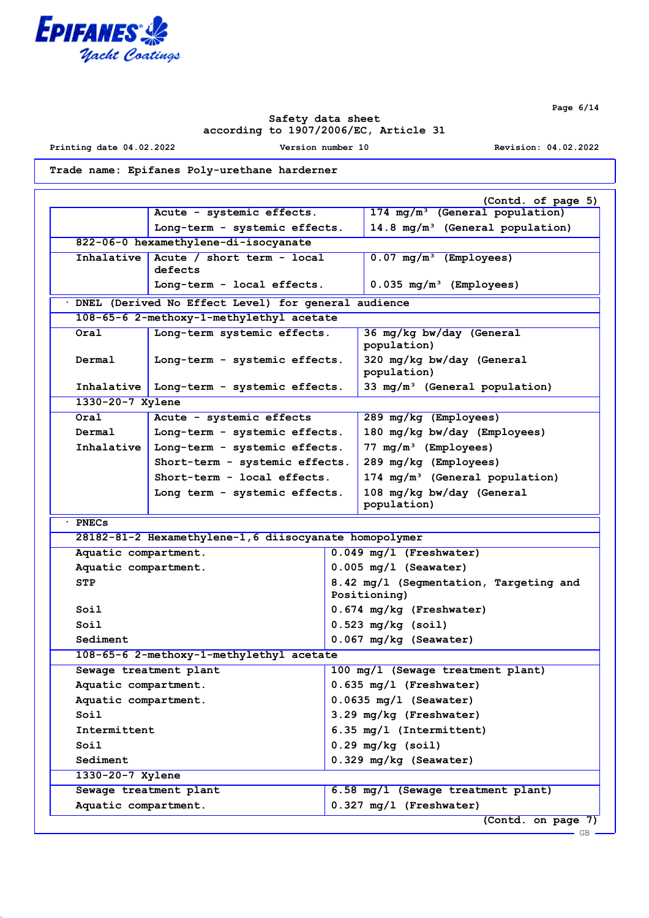

**Printing date 04.02.2022 Version number 10 Revision: 04.02.2022**

**Page 6/14**

**Trade name: Epifanes Poly-urethane harderner**

|                                                     | Acute - systemic effects.                              | (Contd. of page 5)<br>174 mg/m <sup>3</sup> (General population) |
|-----------------------------------------------------|--------------------------------------------------------|------------------------------------------------------------------|
|                                                     | Long-term - systemic effects.                          | $14.8 \text{ mg/m}^3$ (General population)                       |
|                                                     | 822-06-0 hexamethylene-di-isocyanate                   |                                                                  |
| Inhalative                                          | Acute / short term - local                             | $0.07$ mg/m <sup>3</sup> (Employees)                             |
|                                                     | defects                                                |                                                                  |
|                                                     | Long-term - local effects.                             | $0.035 \, \text{mg/m}^3$ (Employees)                             |
| DNEL (Derived No Effect Level) for general audience |                                                        |                                                                  |
|                                                     | 108-65-6 2-methoxy-1-methylethyl acetate               |                                                                  |
| Oral                                                | Long-term systemic effects.                            | 36 mg/kg bw/day (General<br>population)                          |
| Dermal                                              | Long-term - systemic effects.                          | 320 mg/kg bw/day (General<br>population)                         |
| Inhalative                                          | Long-term - systemic effects.                          | 33 $mg/m^3$ (General population)                                 |
| 1330-20-7 Xylene                                    |                                                        |                                                                  |
| Oral                                                | Acute - systemic effects                               | 289 mg/kg (Employees)                                            |
| Dermal                                              | Long-term - systemic effects.                          | 180 mg/kg bw/day (Employees)                                     |
| Inhalative                                          | Long-term - systemic effects.                          | $77 \text{ mg/m}^3$ (Employees)                                  |
|                                                     | Short-term - systemic effects.                         | 289 mg/kg (Employees)                                            |
|                                                     | Short-term - local effects.                            | 174 mg/m <sup>3</sup> (General population)                       |
|                                                     | Long term - systemic effects.                          | 108 mg/kg bw/day (General<br>population)                         |
| · PNECs                                             |                                                        |                                                                  |
|                                                     |                                                        |                                                                  |
|                                                     | 28182-81-2 Hexamethylene-1, 6 diisocyanate homopolymer |                                                                  |
| Aquatic compartment.                                |                                                        | $0.049$ mg/l (Freshwater)                                        |
| Aquatic compartment.                                |                                                        | $0.005$ mg/l (Seawater)                                          |
| STP                                                 |                                                        | 8.42 mg/l (Segmentation, Targeting and<br>Positioning)           |
| Soil                                                |                                                        | $0.674$ mg/kg (Freshwater)                                       |
| Soil                                                |                                                        | $0.523$ mg/kg (soil)                                             |
| Sediment                                            |                                                        | 0.067 mg/kg (Seawater)                                           |
|                                                     | 108-65-6 2-methoxy-1-methylethyl acetate               |                                                                  |
|                                                     | Sewage treatment plant                                 | 100 mg/l (Sewage treatment plant)                                |
| Aquatic compartment.                                |                                                        | $0.635$ mg/l (Freshwater)                                        |
| Aquatic compartment.                                |                                                        | $0.0635$ mg/l (Seawater)                                         |
| Soil                                                |                                                        | 3.29 mg/kg (Freshwater)                                          |
| Intermittent                                        |                                                        | 6.35 mg/l (Intermittent)                                         |
| Soil                                                |                                                        | $0.29$ mg/kg (soil)                                              |
| Sediment                                            |                                                        | 0.329 mg/kg (Seawater)                                           |
| 1330-20-7 Xylene                                    |                                                        |                                                                  |
|                                                     | Sewage treatment plant                                 | 6.58 mg/l (Sewage treatment plant)                               |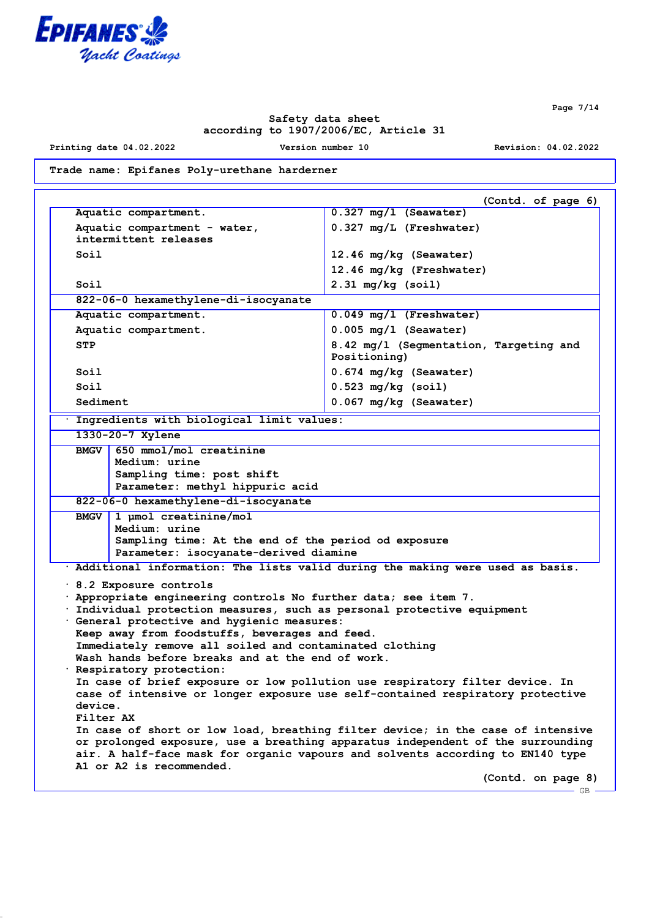

**Printing date 04.02.2022 Version number 10 Revision: 04.02.2022**

**Trade name: Epifanes Poly-urethane harderner**

|                                                                                                                                                                                                                                                                                                    |                                                                                                                                                |                                                                                                                                                                                                                                                                                                                                                                                                                                                                                    | (Contd. of page 6) |
|----------------------------------------------------------------------------------------------------------------------------------------------------------------------------------------------------------------------------------------------------------------------------------------------------|------------------------------------------------------------------------------------------------------------------------------------------------|------------------------------------------------------------------------------------------------------------------------------------------------------------------------------------------------------------------------------------------------------------------------------------------------------------------------------------------------------------------------------------------------------------------------------------------------------------------------------------|--------------------|
| Aquatic compartment.                                                                                                                                                                                                                                                                               |                                                                                                                                                | $0.327$ mg/l (Seawater)                                                                                                                                                                                                                                                                                                                                                                                                                                                            |                    |
| Aquatic compartment - water,                                                                                                                                                                                                                                                                       |                                                                                                                                                | 0.327 mg/L (Freshwater)                                                                                                                                                                                                                                                                                                                                                                                                                                                            |                    |
| intermittent releases                                                                                                                                                                                                                                                                              |                                                                                                                                                |                                                                                                                                                                                                                                                                                                                                                                                                                                                                                    |                    |
| Soil                                                                                                                                                                                                                                                                                               |                                                                                                                                                | 12.46 mg/kg (Seawater)                                                                                                                                                                                                                                                                                                                                                                                                                                                             |                    |
|                                                                                                                                                                                                                                                                                                    |                                                                                                                                                | 12.46 mg/kg (Freshwater)                                                                                                                                                                                                                                                                                                                                                                                                                                                           |                    |
| Soil                                                                                                                                                                                                                                                                                               |                                                                                                                                                | $2.31$ mg/kg (soil)                                                                                                                                                                                                                                                                                                                                                                                                                                                                |                    |
| 822-06-0 hexamethylene-di-isocyanate                                                                                                                                                                                                                                                               |                                                                                                                                                |                                                                                                                                                                                                                                                                                                                                                                                                                                                                                    |                    |
| Aquatic compartment.                                                                                                                                                                                                                                                                               |                                                                                                                                                | $0.049$ mg/l (Freshwater)                                                                                                                                                                                                                                                                                                                                                                                                                                                          |                    |
| Aquatic compartment.                                                                                                                                                                                                                                                                               |                                                                                                                                                | $0.005$ mg/l (Seawater)                                                                                                                                                                                                                                                                                                                                                                                                                                                            |                    |
| <b>STP</b>                                                                                                                                                                                                                                                                                         |                                                                                                                                                | 8.42 mg/l (Segmentation, Targeting and<br>Positioning)                                                                                                                                                                                                                                                                                                                                                                                                                             |                    |
| Soil                                                                                                                                                                                                                                                                                               |                                                                                                                                                | 0.674 mg/kg (Seawater)                                                                                                                                                                                                                                                                                                                                                                                                                                                             |                    |
| Soil                                                                                                                                                                                                                                                                                               |                                                                                                                                                | $0.523$ mg/kg (soil)                                                                                                                                                                                                                                                                                                                                                                                                                                                               |                    |
| Sediment                                                                                                                                                                                                                                                                                           |                                                                                                                                                | 0.067 mg/kg (Seawater)                                                                                                                                                                                                                                                                                                                                                                                                                                                             |                    |
| Ingredients with biological limit values:                                                                                                                                                                                                                                                          |                                                                                                                                                |                                                                                                                                                                                                                                                                                                                                                                                                                                                                                    |                    |
| 1330-20-7 Xylene                                                                                                                                                                                                                                                                                   |                                                                                                                                                |                                                                                                                                                                                                                                                                                                                                                                                                                                                                                    |                    |
| BMGV                                                                                                                                                                                                                                                                                               | Medium: urine<br>Sampling time: post shift<br>Parameter: methyl hippuric acid<br>822-06-0 hexamethylene-di-isocyanate<br>1 µmol creatinine/mol |                                                                                                                                                                                                                                                                                                                                                                                                                                                                                    |                    |
| Medium: urine                                                                                                                                                                                                                                                                                      | Parameter: isocyanate-derived diamine                                                                                                          | Sampling time: At the end of the period od exposure                                                                                                                                                                                                                                                                                                                                                                                                                                |                    |
|                                                                                                                                                                                                                                                                                                    |                                                                                                                                                | · Additional information: The lists valid during the making were used as basis.                                                                                                                                                                                                                                                                                                                                                                                                    |                    |
| $\cdot$ 8.2 Exposure controls<br>· General protective and hygienic measures:<br>Keep away from foodstuffs, beverages and feed.<br>Immediately remove all soiled and contaminated clothing<br>Wash hands before breaks and at the end of work.<br>· Respiratory protection:<br>device.<br>Filter AX |                                                                                                                                                | . Appropriate engineering controls No further data; see item 7.<br>. Individual protection measures, such as personal protective equipment<br>In case of brief exposure or low pollution use respiratory filter device. In<br>case of intensive or longer exposure use self-contained respiratory protective<br>In case of short or low load, breathing filter device; in the case of intensive<br>or prolonged exposure, use a breathing apparatus independent of the surrounding |                    |
| A1 or A2 is recommended.                                                                                                                                                                                                                                                                           |                                                                                                                                                | air. A half-face mask for organic vapours and solvents according to EN140 type                                                                                                                                                                                                                                                                                                                                                                                                     | (Contd. on page 8) |
|                                                                                                                                                                                                                                                                                                    |                                                                                                                                                |                                                                                                                                                                                                                                                                                                                                                                                                                                                                                    |                    |

**Page 7/14**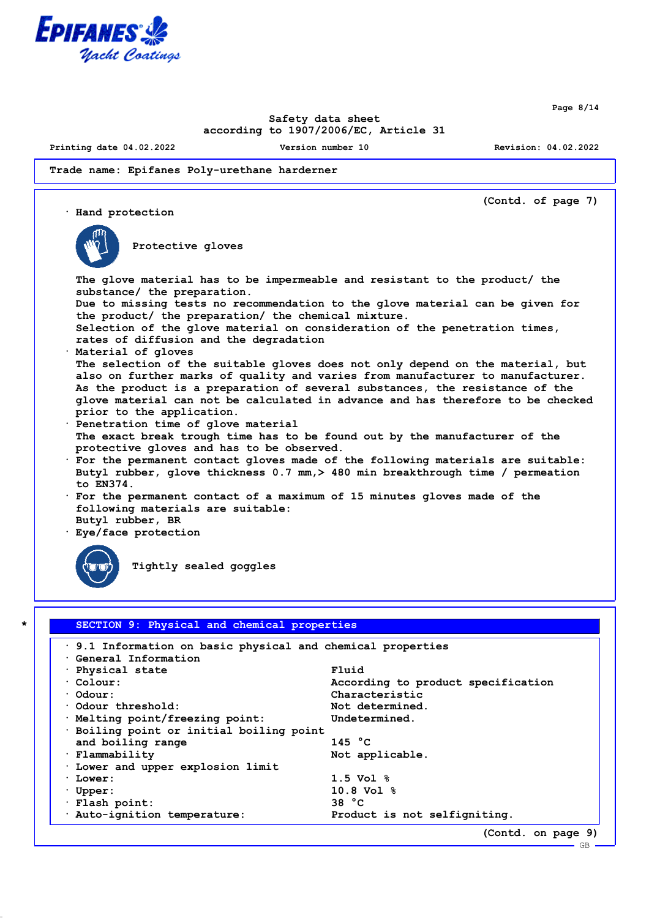

**Page 8/14**

## **Safety data sheet according to 1907/2006/EC, Article 31**

**Printing date 04.02.2022 Version number 10 Revision: 04.02.2022**

#### **Trade name: Epifanes Poly-urethane harderner**



| 9.1 Information on basic physical and chemical properties |                                    |
|-----------------------------------------------------------|------------------------------------|
| Ceneral Information                                       |                                    |
| $\cdot$ Physical state                                    | Fluid                              |
| $\cdot$ Colour:                                           | According to product specification |
| $\cdot$ Odour:                                            | Characteristic                     |
| Odour threshold:                                          | Not determined.                    |
| · Melting point/freezing point:                           | Undetermined.                      |
| · Boiling point or initial boiling point                  |                                    |
| and boiling range                                         | 145 $^{\circ}$ C                   |
| $\cdot$ Flammability                                      | Not applicable.                    |
| . Lower and upper explosion limit                         |                                    |
| · Lower:                                                  | $1.5$ Vol $\frac{6}{3}$            |
| $\cdot$ Upper:                                            | $10.8$ Vol $%$                     |
| · Flash point:                                            | 38 °C                              |
| · Auto-ignition temperature:                              | Product is not selfigniting.       |
|                                                           | (Contd. on page 9)                 |

GB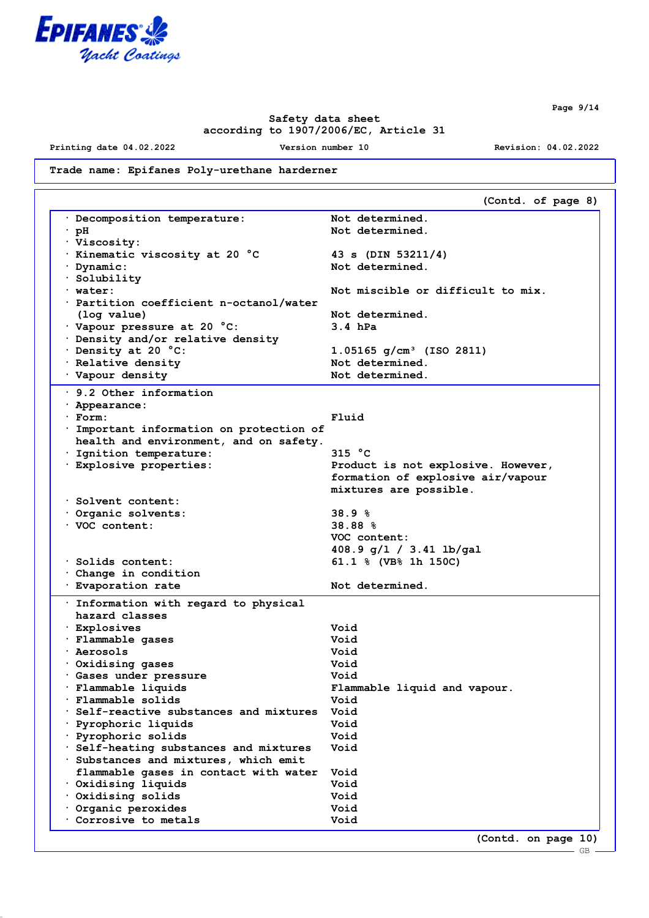

**Printing date 04.02.2022 Version number 10 Revision: 04.02.2022**

# **Trade name: Epifanes Poly-urethane harderner**

|                                                | (Contd. of page 8)                     |
|------------------------------------------------|----------------------------------------|
| Decomposition temperature:                     | Not determined.                        |
| · pH                                           | Not determined.                        |
| · Viscosity:                                   |                                        |
| $\cdot$ Kinematic viscosity at 20 $^{\circ}$ C | 43 s (DIN 53211/4)                     |
| Dynamic:                                       | Not determined.                        |
| Solubility .                                   |                                        |
| · water:                                       | Not miscible or difficult to mix.      |
| $\cdot$ Partition coefficient n-octanol/water  |                                        |
| (log value)                                    | Not determined.                        |
| Vapour pressure at 20 °C:                      | $3.4$ hPa                              |
| Density and/or relative density                |                                        |
| Density at 20 °C:                              | $1.05165$ g/cm <sup>3</sup> (ISO 2811) |
| · Relative density                             | Not determined.                        |
| Vapour density                                 | Not determined.                        |
| $\cdot$ 9.2 Other information                  |                                        |
|                                                |                                        |
| · Appearance:<br>· Form:                       | Fluid                                  |
| Important information on protection of         |                                        |
| health and environment, and on safety.         |                                        |
| · Ignition temperature:                        | 315 $^{\circ}$ C                       |
| · Explosive properties:                        | Product is not explosive. However,     |
|                                                | formation of explosive air/vapour      |
|                                                | mixtures are possible.                 |
| Solvent content:                               |                                        |
| Organic solvents:                              | 38.9%                                  |
| VOC content:                                   | 38.88 %                                |
|                                                | VOC content:                           |
|                                                | 408.9 g/l / 3.41 lb/gal                |
| · Solids content:                              | 61.1 % (VB% 1h 150C)                   |
| $\cdot$ Change in condition                    |                                        |
| · Evaporation rate                             | Not determined.                        |
|                                                |                                        |
| . Information with regard to physical          |                                        |
| hazard classes                                 |                                        |
| · Explosives                                   | Void                                   |
| · Flammable gases                              | Void                                   |
| <sup>.</sup> Aerosols                          | Void                                   |
| Oxidising gases                                | Void                                   |
| · Gases under pressure                         | Void                                   |
| Flammable liquids                              | Flammable liquid and vapour.           |
| Flammable solids                               | Void                                   |
| Self-reactive substances and mixtures          | Void                                   |
| Pyrophoric liquids                             | Void                                   |
| Pyrophoric solids                              | Void                                   |
| Self-heating substances and mixtures           | Void                                   |
| Substances and mixtures, which emit            |                                        |
| flammable gases in contact with water          | Void                                   |
| Oxidising liquids                              | Void                                   |
| Oxidising solids                               | Void                                   |
| Organic peroxides                              | Void                                   |
| Corrosive to metals                            | Void                                   |
|                                                | (Contd. on page 10)                    |

**Page 9/14**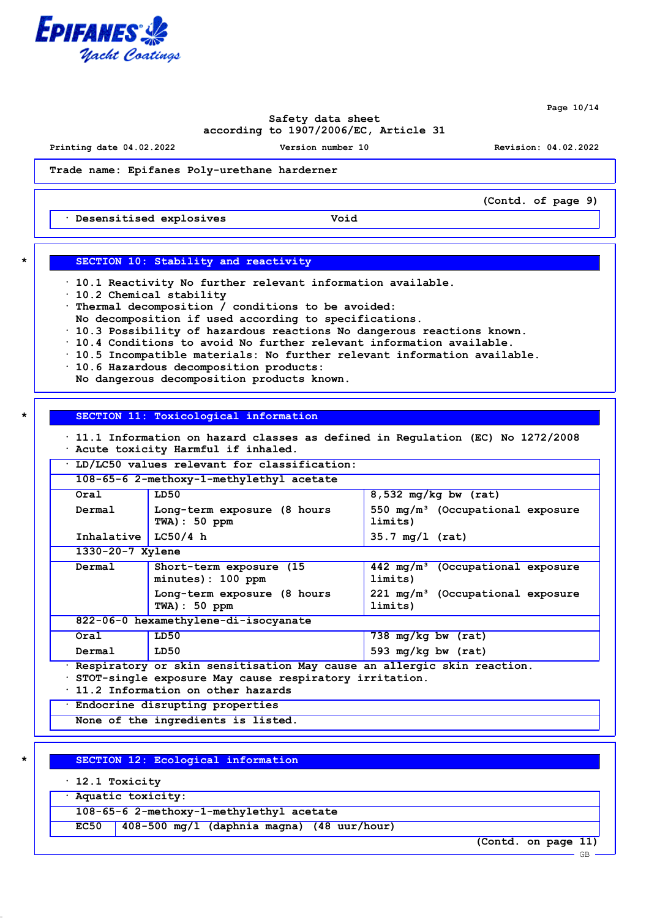

**Page 10/14**

## **Safety data sheet according to 1907/2006/EC, Article 31**

**Printing date 04.02.2022 Version number 10 Revision: 04.02.2022**

**(Contd. of page 9)**

**Trade name: Epifanes Poly-urethane harderner**

**· Desensitised explosives Void**

# **\* SECTION 10: Stability and reactivity**

- **· 10.1 Reactivity No further relevant information available.**
- **· 10.2 Chemical stability**
- **· Thermal decomposition / conditions to be avoided:**
- **No decomposition if used according to specifications.**
- **· 10.3 Possibility of hazardous reactions No dangerous reactions known.**
- **· 10.4 Conditions to avoid No further relevant information available.**
- **· 10.5 Incompatible materials: No further relevant information available.**
- **· 10.6 Hazardous decomposition products:**
- **No dangerous decomposition products known.**

## **\* SECTION 11: Toxicological information**

**· 11.1 Information on hazard classes as defined in Regulation (EC) No 1272/2008 · Acute toxicity Harmful if inhaled.**

**· LD/LC50 values relevant for classification:**

| 108-65-6 2-methoxy-1-methylethyl acetate |                                                 |                                                         |
|------------------------------------------|-------------------------------------------------|---------------------------------------------------------|
| Oral                                     | LD50                                            | $\overline{8,532}$ mg/kg bw (rat)                       |
| Dermal                                   | Long-term exposure (8 hours<br>$TWA$ ) : 50 ppm | 550 $mq/m^3$ (Occupational exposure<br>limits)          |
| Inhalative                               | LC50/4 h                                        | $35.7 \text{ mg}/1 \text{ (rat)}$                       |
|                                          | $1330 - 20 - 7$ Xylene                          |                                                         |
| Dermal                                   | Short-term exposure (15)<br>minutes): 100 ppm   | $442 \text{ mg/m}^3$ (Occupational exposure<br>limits)  |
|                                          | Long-term exposure (8 hours<br>$TWA$ ) : 50 ppm | 221 mg/m <sup>3</sup> (Occupational exposure<br>limits) |
| 822-06-0 hexamethylene-di-isocyanate     |                                                 |                                                         |
| Oral                                     | LD50                                            | 738 $mq/kg$ bw $(rat)$                                  |
| Dermal                                   | LD50                                            | 593 mg/kg bw $(rat)$                                    |

**· Respiratory or skin sensitisation May cause an allergic skin reaction.**

**· STOT-single exposure May cause respiratory irritation.**

**· 11.2 Information on other hazards**

**· Endocrine disrupting properties**

**None of the ingredients is listed.**

### **\* SECTION 12: Ecological information**

- **· 12.1 Toxicity**
- **· Aquatic toxicity:**

**108-65-6 2-methoxy-1-methylethyl acetate**

**EC50 408-500 mg/l (daphnia magna) (48 uur/hour)**

**(Contd. on page 11)**

GB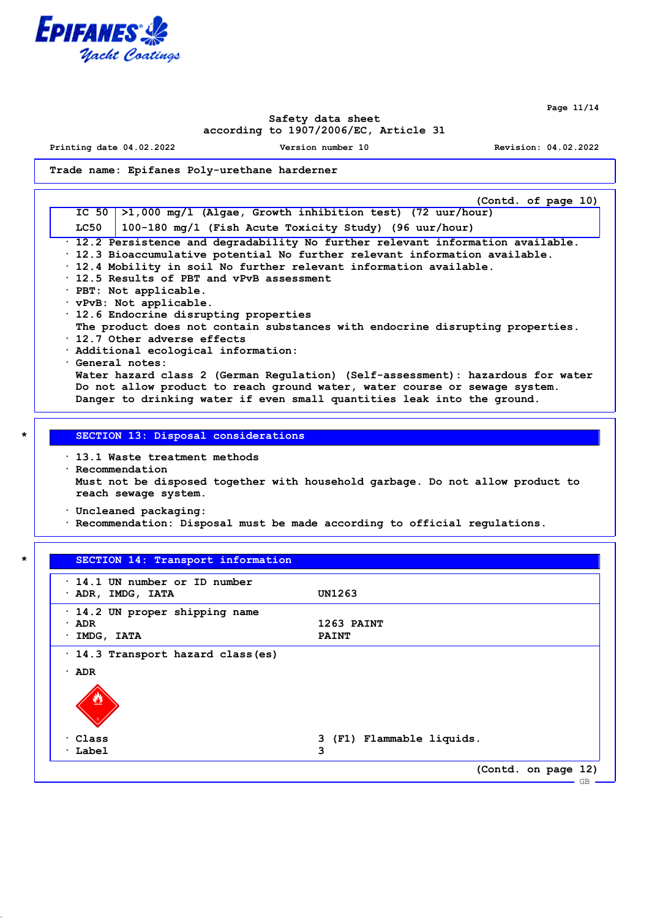

**Page 11/14**

## **Safety data sheet according to 1907/2006/EC, Article 31**

**Printing date 04.02.2022 Version number 10 Revision: 04.02.2022**

### **Trade name: Epifanes Poly-urethane harderner**

**(Contd. of page 10) IC 50 >1,000 mg/l (Algae, Growth inhibition test) (72 uur/hour) LC50 100-180 mg/l (Fish Acute Toxicity Study) (96 uur/hour) · 12.2 Persistence and degradability No further relevant information available. · 12.3 Bioaccumulative potential No further relevant information available. · 12.4 Mobility in soil No further relevant information available. · 12.5 Results of PBT and vPvB assessment · PBT: Not applicable. · vPvB: Not applicable. · 12.6 Endocrine disrupting properties The product does not contain substances with endocrine disrupting properties. · 12.7 Other adverse effects · Additional ecological information: · General notes: Water hazard class 2 (German Regulation) (Self-assessment): hazardous for water Do not allow product to reach ground water, water course or sewage system. Danger to drinking water if even small quantities leak into the ground.**

### **\* SECTION 13: Disposal considerations**

**· 13.1 Waste treatment methods · Recommendation Must not be disposed together with household garbage. Do not allow product to reach sewage system.**

**· Uncleaned packaging:**

**· Recommendation: Disposal must be made according to official regulations.**

# **\* SECTION 14: Transport information**

| $\cdot$ 14.1 UN number or ID number<br>· ADR, IMDG, IATA               | UN1263                         |
|------------------------------------------------------------------------|--------------------------------|
| 14.2 UN proper shipping name<br>$\cdot$ ADR<br>IMDG, IATA<br>$\bullet$ | 1263 PAINT<br><b>PAINT</b>     |
| · 14.3 Transport hazard class (es)<br>$\cdot$ ADR<br>57                |                                |
| $\cdot$ Class<br>$\cdot$ Label                                         | 3 (F1) Flammable liquids.<br>3 |
|                                                                        | (Contd. on page 12)<br>GB      |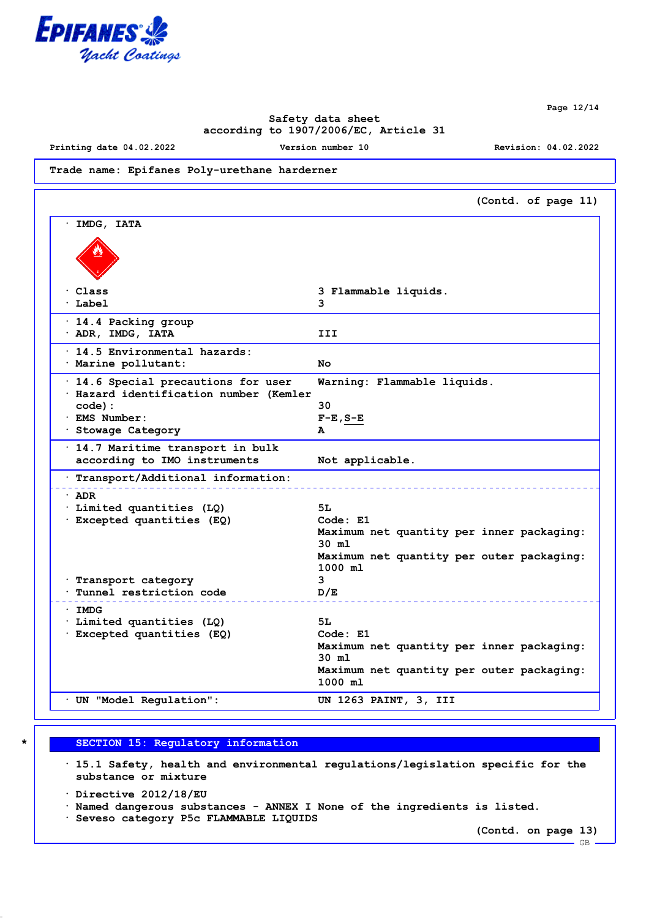

**Printing date 04.02.2022 Version number 10 Revision: 04.02.2022**

### **Trade name: Epifanes Poly-urethane harderner**

|                                                                                     | (Contd. of page 11)                                    |
|-------------------------------------------------------------------------------------|--------------------------------------------------------|
| IMDG, IATA                                                                          |                                                        |
|                                                                                     |                                                        |
| $\cdot$ Class                                                                       | 3 Flammable liquids.                                   |
| $\cdot$ Label                                                                       | 3                                                      |
| · 14.4 Packing group<br>· ADR, IMDG, IATA                                           | III                                                    |
| · 14.5 Environmental hazards:<br>· Marine pollutant:                                | Nο                                                     |
| $\cdot$ 14.6 Special precautions for user<br>· Hazard identification number (Kemler | Warning: Flammable liquids.                            |
| $code)$ :                                                                           | 30                                                     |
| · EMS Number:                                                                       | $F-E$ , $S-E$                                          |
| · Stowage Category                                                                  | A                                                      |
| · 14.7 Maritime transport in bulk                                                   |                                                        |
| according to IMO instruments                                                        | Not applicable.                                        |
| . Transport/Additional information:                                                 |                                                        |
| $\cdot$ ADR                                                                         |                                                        |
| · Limited quantities (LQ)                                                           | 5L                                                     |
| · Excepted quantities (EQ)                                                          | Code: E1                                               |
|                                                                                     | Maximum net quantity per inner packaging:<br>$30$ ml   |
|                                                                                     | Maximum net quantity per outer packaging:<br>$1000$ ml |
| · Transport category                                                                | 3                                                      |
| Tunnel restriction code                                                             | D/E                                                    |
| · IMDG                                                                              |                                                        |
| · Limited quantities (LQ)                                                           | 5L                                                     |
| · Excepted quantities (EQ)                                                          | Code: E1                                               |
|                                                                                     | Maximum net quantity per inner packaging:              |
|                                                                                     | 30 ml                                                  |
|                                                                                     | Maximum net quantity per outer packaging:              |
|                                                                                     | $1000$ ml                                              |
| · UN "Model Regulation":                                                            | UN 1263 PAINT, 3, III                                  |

**\* SECTION 15: Regulatory information**

**· 15.1 Safety, health and environmental regulations/legislation specific for the substance or mixture**

**· Directive 2012/18/EU**

**· Named dangerous substances - ANNEX I None of the ingredients is listed.**

**· Seveso category P5c FLAMMABLE LIQUIDS**

**(Contd. on page 13)**

GB

**Page 12/14**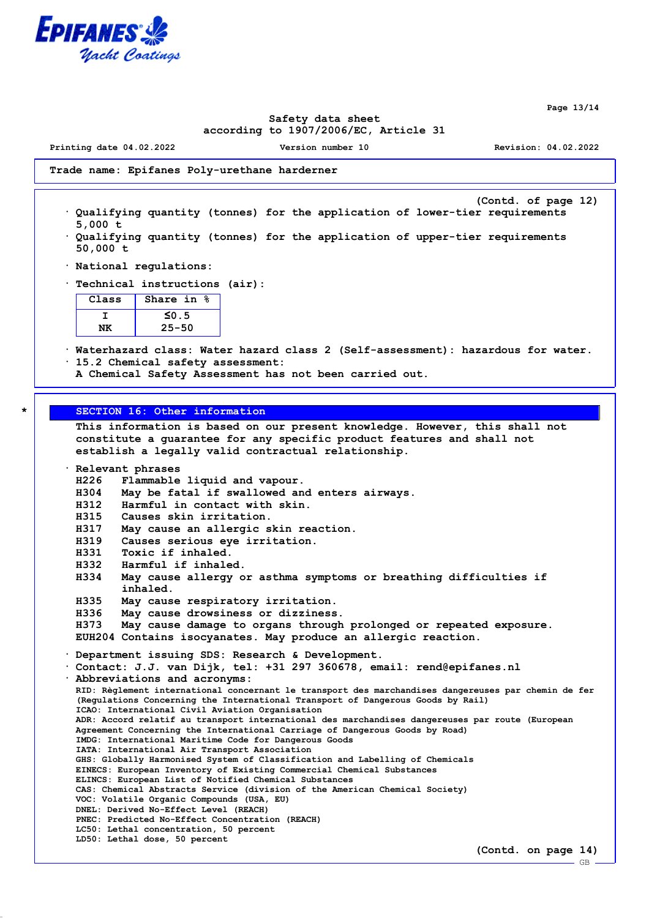

**Page 13/14**

## **Safety data sheet according to 1907/2006/EC, Article 31**

**Printing date 04.02.2022 Version number 10 Revision: 04.02.2022**

**Trade name: Epifanes Poly-urethane harderner**

- **(Contd. of page 12) · Qualifying quantity (tonnes) for the application of lower-tier requirements 5,000 t**
- **· Qualifying quantity (tonnes) for the application of upper-tier requirements 50,000 t**
- **· National regulations:**
- **· Technical instructions (air):**

| Class | Share in $\frac{6}{3}$ |
|-------|------------------------|
|       | $\leq 0.5$             |
|       | $25 - 50$              |

- **· Waterhazard class: Water hazard class 2 (Self-assessment): hazardous for water. · 15.2 Chemical safety assessment:**
	- **A Chemical Safety Assessment has not been carried out.**

# **\* SECTION 16: Other information**

**This information is based on our present knowledge. However, this shall not constitute a guarantee for any specific product features and shall not establish a legally valid contractual relationship.**

**· Relevant phrases**

**H226 Flammable liquid and vapour.**

- **H304 May be fatal if swallowed and enters airways.**
- **H312 Harmful in contact with skin.**
- **H315 Causes skin irritation.**
- **H317 May cause an allergic skin reaction.**
- **H319 Causes serious eye irritation.**
- **H331 Toxic if inhaled.**
- **H332 Harmful if inhaled.**
- **H334 May cause allergy or asthma symptoms or breathing difficulties if inhaled.**
- **H335 May cause respiratory irritation.**
- **H336 May cause drowsiness or dizziness.**
- **H373 May cause damage to organs through prolonged or repeated exposure. EUH204 Contains isocyanates. May produce an allergic reaction.**

**· Department issuing SDS: Research & Development.**

**· Contact: J.J. van Dijk, tel: +31 297 360678, email: rend@epifanes.nl · Abbreviations and acronyms: RID: Règlement international concernant le transport des marchandises dangereuses par chemin de fer (Regulations Concerning the International Transport of Dangerous Goods by Rail) ICAO: International Civil Aviation Organisation ADR: Accord relatif au transport international des marchandises dangereuses par route (European Agreement Concerning the International Carriage of Dangerous Goods by Road) IMDG: International Maritime Code for Dangerous Goods IATA: International Air Transport Association GHS: Globally Harmonised System of Classification and Labelling of Chemicals EINECS: European Inventory of Existing Commercial Chemical Substances ELINCS: European List of Notified Chemical Substances CAS: Chemical Abstracts Service (division of the American Chemical Society) VOC: Volatile Organic Compounds (USA, EU) DNEL: Derived No-Effect Level (REACH) PNEC: Predicted No-Effect Concentration (REACH) LC50: Lethal concentration, 50 percent LD50: Lethal dose, 50 percent**

GB